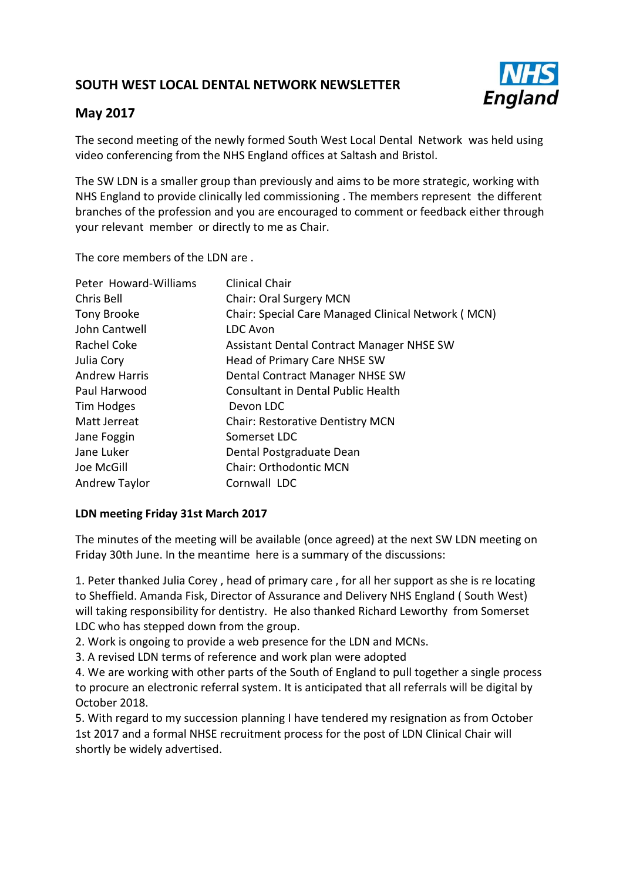# **SOUTH WEST LOCAL DENTAL NETWORK NEWSLETTER**



# **May 2017**

The second meeting of the newly formed South West Local Dental Network was held using video conferencing from the NHS England offices at Saltash and Bristol.

The SW LDN is a smaller group than previously and aims to be more strategic, working with NHS England to provide clinically led commissioning . The members represent the different branches of the profession and you are encouraged to comment or feedback either through your relevant member or directly to me as Chair.

The core members of the LDN are .

| Peter Howard-Williams | <b>Clinical Chair</b>                              |  |
|-----------------------|----------------------------------------------------|--|
| Chris Bell            | Chair: Oral Surgery MCN                            |  |
| Tony Brooke           | Chair: Special Care Managed Clinical Network (MCN) |  |
| John Cantwell         | <b>LDC Avon</b>                                    |  |
| Rachel Coke           | Assistant Dental Contract Manager NHSE SW          |  |
| Julia Cory            | Head of Primary Care NHSE SW                       |  |
| <b>Andrew Harris</b>  | Dental Contract Manager NHSE SW                    |  |
| Paul Harwood          | Consultant in Dental Public Health                 |  |
| Tim Hodges            | Devon LDC                                          |  |
| Matt Jerreat          | <b>Chair: Restorative Dentistry MCN</b>            |  |
| Jane Foggin           | Somerset LDC                                       |  |
| Jane Luker            | Dental Postgraduate Dean                           |  |
| Joe McGill            | <b>Chair: Orthodontic MCN</b>                      |  |
| <b>Andrew Taylor</b>  | Cornwall LDC                                       |  |

## **LDN meeting Friday 31st March 2017**

The minutes of the meeting will be available (once agreed) at the next SW LDN meeting on Friday 30th June. In the meantime here is a summary of the discussions:

1. Peter thanked Julia Corey , head of primary care , for all her support as she is re locating to Sheffield. Amanda Fisk, Director of Assurance and Delivery NHS England ( South West) will taking responsibility for dentistry. He also thanked Richard Leworthy from Somerset LDC who has stepped down from the group.

2. Work is ongoing to provide a web presence for the LDN and MCNs.

3. A revised LDN terms of reference and work plan were adopted

4. We are working with other parts of the South of England to pull together a single process to procure an electronic referral system. It is anticipated that all referrals will be digital by October 2018.

5. With regard to my succession planning I have tendered my resignation as from October 1st 2017 and a formal NHSE recruitment process for the post of LDN Clinical Chair will shortly be widely advertised.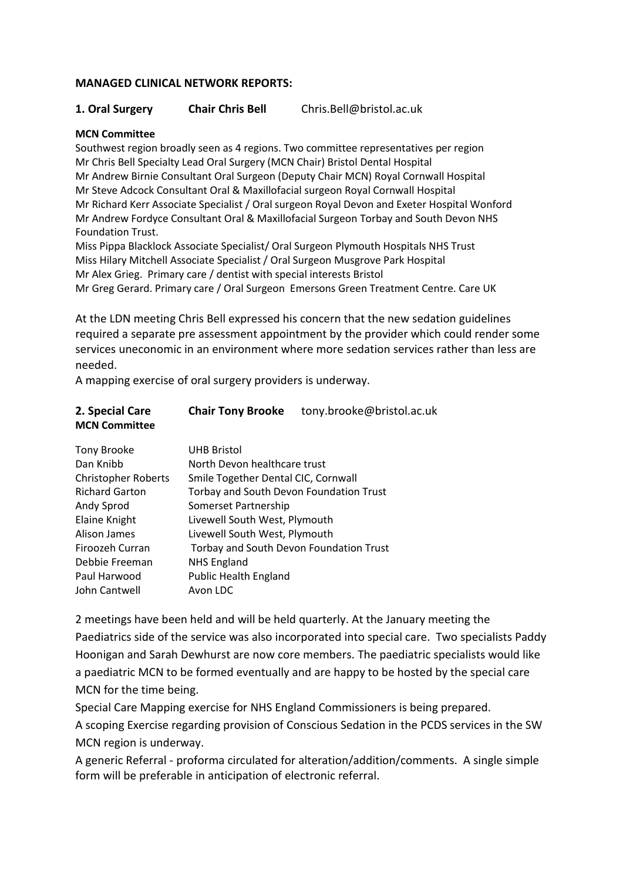### **MANAGED CLINICAL NETWORK REPORTS:**

**1. Oral Surgery Chair Chris Bell** Chris.Bell@bristol.ac.uk

### **MCN Committee**

Southwest region broadly seen as 4 regions. Two committee representatives per region Mr Chris Bell Specialty Lead Oral Surgery (MCN Chair) Bristol Dental Hospital Mr Andrew Birnie Consultant Oral Surgeon (Deputy Chair MCN) Royal Cornwall Hospital Mr Steve Adcock Consultant Oral & Maxillofacial surgeon Royal Cornwall Hospital Mr Richard Kerr Associate Specialist / Oral surgeon Royal Devon and Exeter Hospital Wonford Mr Andrew Fordyce Consultant Oral & Maxillofacial Surgeon Torbay and South Devon NHS Foundation Trust.

Miss Pippa Blacklock Associate Specialist/ Oral Surgeon Plymouth Hospitals NHS Trust Miss Hilary Mitchell Associate Specialist / Oral Surgeon Musgrove Park Hospital Mr Alex Grieg. Primary care / dentist with special interests Bristol Mr Greg Gerard. Primary care / Oral Surgeon Emersons Green Treatment Centre. Care UK

At the LDN meeting Chris Bell expressed his concern that the new sedation guidelines required a separate pre assessment appointment by the provider which could render some services uneconomic in an environment where more sedation services rather than less are needed.

A mapping exercise of oral surgery providers is underway.

| 2. Special Care<br><b>MCN Committee</b> | <b>Chair Tony Brooke</b>                       | tony.brooke@bristol.ac.uk |  |
|-----------------------------------------|------------------------------------------------|---------------------------|--|
| Tony Brooke                             | <b>UHB Bristol</b>                             |                           |  |
| Dan Knibb                               | North Devon healthcare trust                   |                           |  |
| <b>Christopher Roberts</b>              | Smile Together Dental CIC, Cornwall            |                           |  |
| <b>Richard Garton</b>                   | <b>Torbay and South Devon Foundation Trust</b> |                           |  |
| Andy Sprod                              | Somerset Partnership                           |                           |  |
| Elaine Knight                           | Livewell South West, Plymouth                  |                           |  |
| Alison James                            | Livewell South West, Plymouth                  |                           |  |
| Firoozeh Curran                         | Torbay and South Devon Foundation Trust        |                           |  |
| Debbie Freeman                          | <b>NHS England</b>                             |                           |  |
| Paul Harwood                            | <b>Public Health England</b>                   |                           |  |
| John Cantwell                           | Avon LDC                                       |                           |  |

2 meetings have been held and will be held quarterly. At the January meeting the Paediatrics side of the service was also incorporated into special care. Two specialists Paddy Hoonigan and Sarah Dewhurst are now core members. The paediatric specialists would like a paediatric MCN to be formed eventually and are happy to be hosted by the special care MCN for the time being.

Special Care Mapping exercise for NHS England Commissioners is being prepared.

A scoping Exercise regarding provision of Conscious Sedation in the PCDS services in the SW MCN region is underway.

A generic Referral - proforma circulated for alteration/addition/comments. A single simple form will be preferable in anticipation of electronic referral.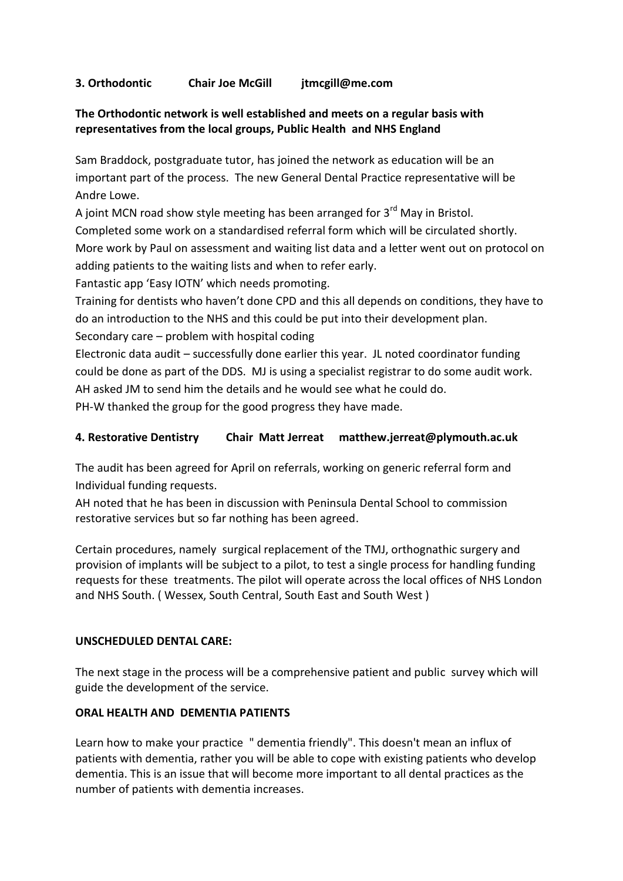## **3. Orthodontic Chair Joe McGill jtmcgill@me.com**

## **The Orthodontic network is well established and meets on a regular basis with representatives from the local groups, Public Health and NHS England**

Sam Braddock, postgraduate tutor, has joined the network as education will be an important part of the process. The new General Dental Practice representative will be Andre Lowe.

A joint MCN road show style meeting has been arranged for  $3<sup>rd</sup>$  May in Bristol. Completed some work on a standardised referral form which will be circulated shortly. More work by Paul on assessment and waiting list data and a letter went out on protocol on adding patients to the waiting lists and when to refer early.

Fantastic app 'Easy IOTN' which needs promoting.

Training for dentists who haven't done CPD and this all depends on conditions, they have to do an introduction to the NHS and this could be put into their development plan.

Secondary care – problem with hospital coding

Electronic data audit – successfully done earlier this year. JL noted coordinator funding could be done as part of the DDS. MJ is using a specialist registrar to do some audit work. AH asked JM to send him the details and he would see what he could do. PH-W thanked the group for the good progress they have made.

# **4. Restorative Dentistry Chair Matt Jerreat matthew.jerreat@plymouth.ac.uk**

The audit has been agreed for April on referrals, working on generic referral form and Individual funding requests.

AH noted that he has been in discussion with Peninsula Dental School to commission restorative services but so far nothing has been agreed.

Certain procedures, namely surgical replacement of the TMJ, orthognathic surgery and provision of implants will be subject to a pilot, to test a single process for handling funding requests for these treatments. The pilot will operate across the local offices of NHS London and NHS South. ( Wessex, South Central, South East and South West )

## **UNSCHEDULED DENTAL CARE:**

The next stage in the process will be a comprehensive patient and public survey which will guide the development of the service.

## **ORAL HEALTH AND DEMENTIA PATIENTS**

Learn how to make your practice " dementia friendly". This doesn't mean an influx of patients with dementia, rather you will be able to cope with existing patients who develop dementia. This is an issue that will become more important to all dental practices as the number of patients with dementia increases.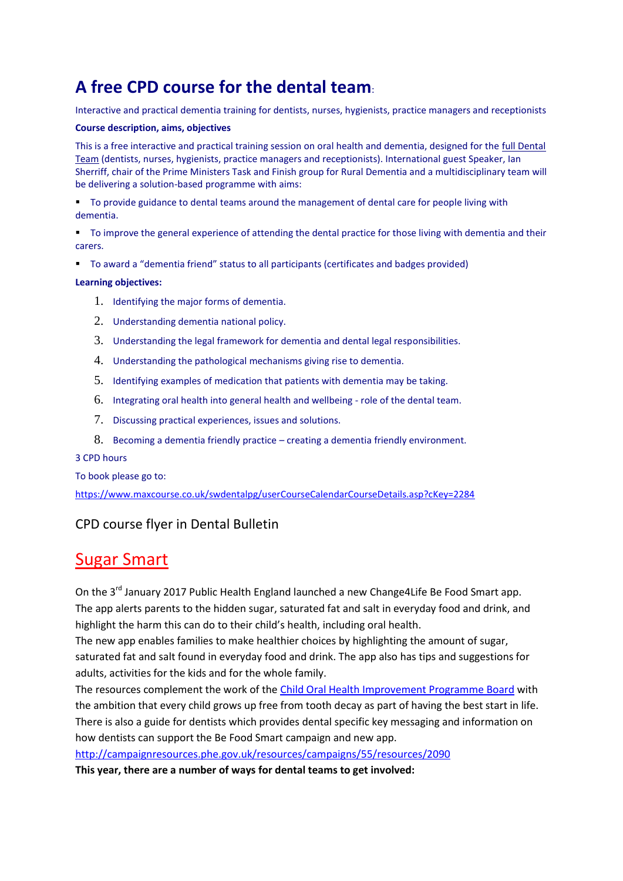# **A free CPD course for the dental team**:

Interactive and practical dementia training for dentists, nurses, hygienists, practice managers and receptionists

#### **Course description, aims, objectives**

This is a free interactive and practical training session on oral health and dementia, designed for the full Dental Team (dentists, nurses, hygienists, practice managers and receptionists). International guest Speaker, Ian Sherriff, chair of the Prime Ministers Task and Finish group for Rural Dementia and a multidisciplinary team will be delivering a solution-based programme with aims:

- To provide guidance to dental teams around the management of dental care for people living with dementia.
- To improve the general experience of attending the dental practice for those living with dementia and their carers.
- To award a "dementia friend" status to all participants (certificates and badges provided)

### **Learning objectives:**

- 1. Identifying the major forms of dementia.
- 2. Understanding dementia national policy.
- 3. Understanding the legal framework for dementia and dental legal responsibilities.
- 4. Understanding the pathological mechanisms giving rise to dementia.
- 5. Identifying examples of medication that patients with dementia may be taking.
- 6. Integrating oral health into general health and wellbeing role of the dental team.
- 7. Discussing practical experiences, issues and solutions.
- 8. Becoming a dementia friendly practice creating a dementia friendly environment.

#### 3 CPD hours

To book please go to:

<https://www.maxcourse.co.uk/swdentalpg/userCourseCalendarCourseDetails.asp?cKey=2284>

# CPD course flyer in Dental Bulletin

# Sugar Smart

On the 3<sup>rd</sup> January 2017 Public Health England launched a new Change4Life Be Food Smart app. The app alerts parents to the hidden sugar, saturated fat and salt in everyday food and drink, and highlight the harm this can do to their child's health, including oral health.

The new app enables families to make healthier choices by highlighting the amount of sugar, saturated fat and salt found in everyday food and drink. The app also has tips and suggestions for adults, activities for the kids and for the whole family.

The resources complement the work of th[e Child Oral Health Improvement Programme Board](https://www.gov.uk/government/news/launch-of-the-childrens-oral-health-improvement-programme-board) with the ambition that every child grows up free from tooth decay as part of having the best start in life. There is also a guide for dentists which provides dental specific key messaging and information on how dentists can support the Be Food Smart campaign and new app.

<http://campaignresources.phe.gov.uk/resources/campaigns/55/resources/2090>

**This year, there are a number of ways for dental teams to get involved:**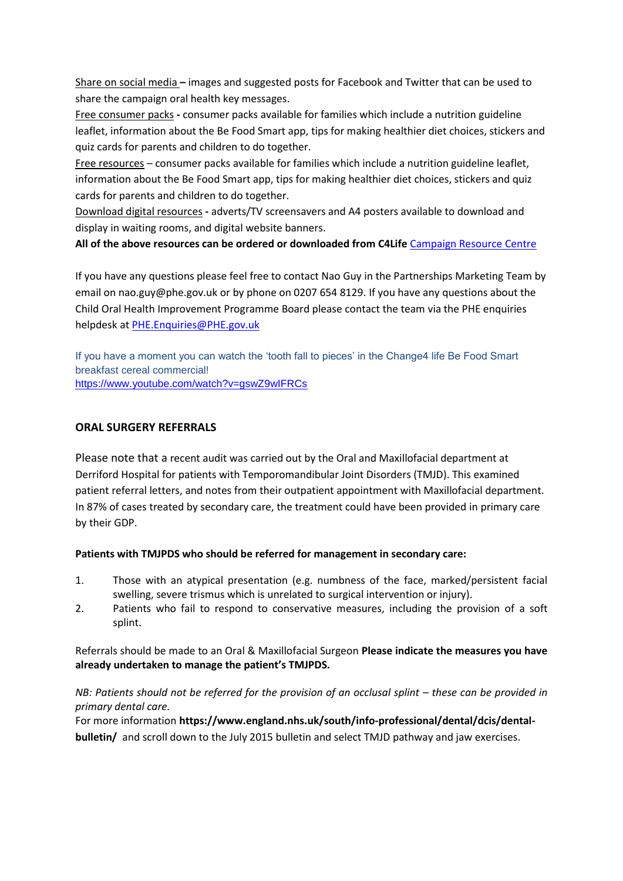Share on social media **–** images and suggested posts for Facebook and Twitter that can be used to share the campaign oral health key messages.

Free consumer packs **-** consumer packs available for families which include a nutrition guideline leaflet, information about the Be Food Smart app, tips for making healthier diet choices, stickers and quiz cards for parents and children to do together.

Free resources – consumer packs available for families which include a nutrition guideline leaflet, information about the Be Food Smart app, tips for making healthier diet choices, stickers and quiz cards for parents and children to do together.

Download digital resources **-** adverts/TV screensavers and A4 posters available to download and display in waiting rooms, and digital website banners.

**All of the above resources can be ordered or downloaded from C4Life** [Campaign Resource Centre](http://campaignresources.phe.gov.uk/resources/campaigns/55)

If you have any questions please feel free to contact Nao Guy in the Partnerships Marketing Team by email on nao.guy@phe.gov.uk or by phone on 0207 654 8129. If you have any questions about the Child Oral Health Improvement Programme Board please contact the team via the PHE enquiries helpdesk at [PHE.Enquiries@PHE.gov.uk](mailto:PHE.Enquiries@PHE.gov.uk)

If you have a moment you can watch the 'tooth fall to pieces' in the Change4 life Be Food Smart breakfast cereal commercial! <https://www.youtube.com/watch?v=gswZ9wIFRCs>

## **ORAL SURGERY REFERRALS**

Please note that a recent audit was carried out by the Oral and Maxillofacial department at Derriford Hospital for patients with Temporomandibular Joint Disorders (TMJD). This examined patient referral letters, and notes from their outpatient appointment with Maxillofacial department. In 87% of cases treated by secondary care, the treatment could have been provided in primary care by their GDP.

## **Patients with TMJPDS who should be referred for management in secondary care:**

- 1. Those with an atypical presentation (e.g. numbness of the face, marked/persistent facial swelling, severe trismus which is unrelated to surgical intervention or injury).
- 2. Patients who fail to respond to conservative measures, including the provision of a soft splint.

Referrals should be made to an Oral & Maxillofacial Surgeon **Please indicate the measures you have already undertaken to manage the patient's TMJPDS.** 

## *NB: Patients should not be referred for the provision of an occlusal splint – these can be provided in primary dental care.*

For more information **https://www.england.nhs.uk/south/info-professional/dental/dcis/dentalbulletin/** and scroll down to the July 2015 bulletin and select TMJD pathway and jaw exercises.